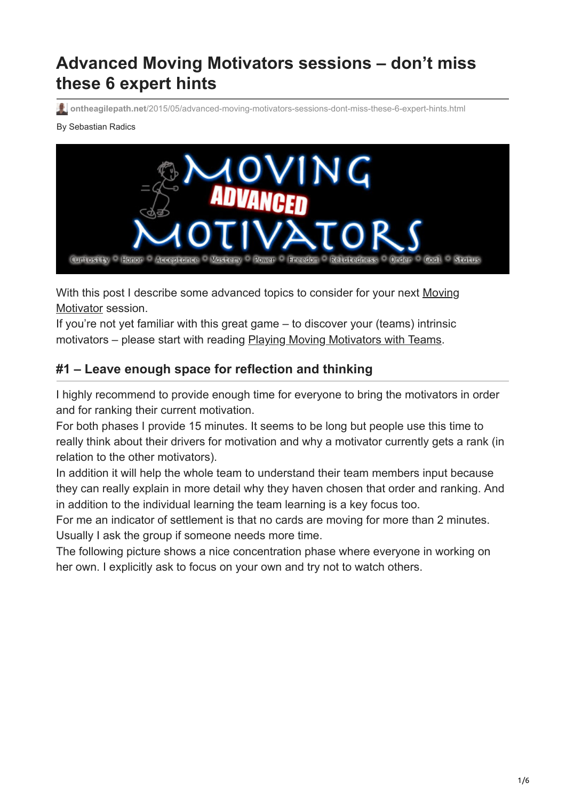# **Advanced Moving Motivators sessions – don't miss these 6 expert hints**

**ontheagilepath.net**[/2015/05/advanced-moving-motivators-sessions-dont-miss-these-6-expert-hints.html](https://www.ontheagilepath.net/2015/05/advanced-moving-motivators-sessions-dont-miss-these-6-expert-hints.html)

#### By Sebastian Radics



[With this post I describe some advanced topics to consider for your next Moving](http://www.ontheagilepath.net/2013/02/playing-jurgen-appelos-moving.html) Motivator session.

If you're not yet familiar with this great game – to discover your (teams) intrinsic motivators – please start with reading [Playing Moving Motivators with Teams](http://www.ontheagilepath.net/2013/02/playing-jurgen-appelos-moving.html).

# **#1 – Leave enough space for reflection and thinking**

I highly recommend to provide enough time for everyone to bring the motivators in order and for ranking their current motivation.

For both phases I provide 15 minutes. It seems to be long but people use this time to really think about their drivers for motivation and why a motivator currently gets a rank (in relation to the other motivators).

In addition it will help the whole team to understand their team members input because they can really explain in more detail why they haven chosen that order and ranking. And in addition to the individual learning the team learning is a key focus too.

For me an indicator of settlement is that no cards are moving for more than 2 minutes. Usually I ask the group if someone needs more time.

The following picture shows a nice concentration phase where everyone in working on her own. I explicitly ask to focus on your own and try not to watch others.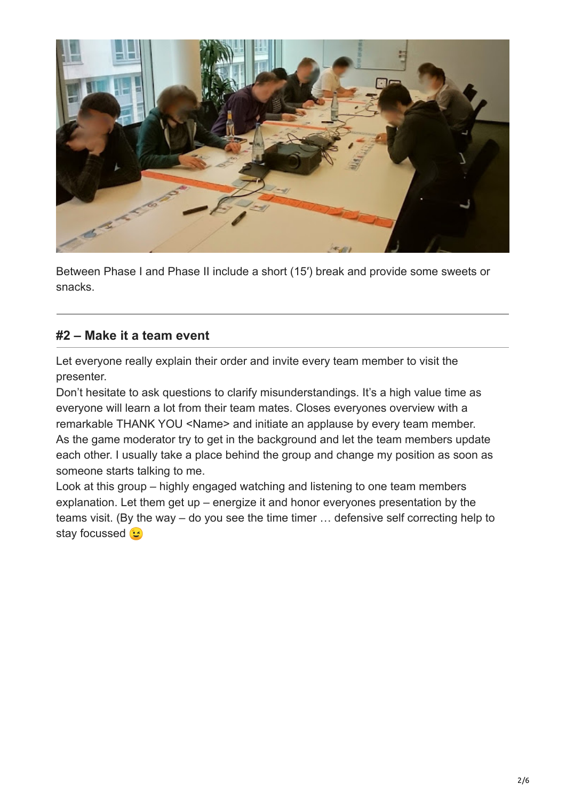

Between Phase I and Phase II include a short (15′) break and provide some sweets or snacks.

## **#2 – Make it a team event**

Let everyone really explain their order and invite every team member to visit the presenter.

Don't hesitate to ask questions to clarify misunderstandings. It's a high value time as everyone will learn a lot from their team mates. Closes everyones overview with a remarkable THANK YOU <Name> and initiate an applause by every team member. As the game moderator try to get in the background and let the team members update each other. I usually take a place behind the group and change my position as soon as someone starts talking to me.

Look at this group – highly engaged watching and listening to one team members explanation. Let them get up – energize it and honor everyones presentation by the teams visit. (By the way – do you see the time timer … defensive self correcting help to stay focussed  $\circ$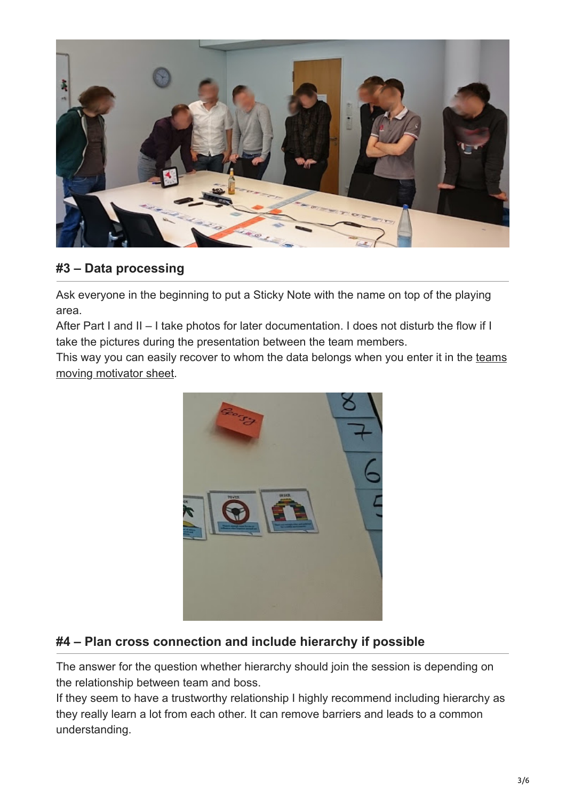

# **#3 – Data processing**

Ask everyone in the beginning to put a Sticky Note with the name on top of the playing area.

After Part I and II – I take photos for later documentation. I does not disturb the flow if I take the pictures during the presentation between the team members.

[This way you can easily recover to whom the data belongs when you enter it in the teams](http://www.ontheagilepath.net/2013/02/playing-jurgen-appelos-moving.html) moving motivator sheet.



# **#4 – Plan cross connection and include hierarchy if possible**

The answer for the question whether hierarchy should join the session is depending on the relationship between team and boss.

If they seem to have a trustworthy relationship I highly recommend including hierarchy as they really learn a lot from each other. It can remove barriers and leads to a common understanding.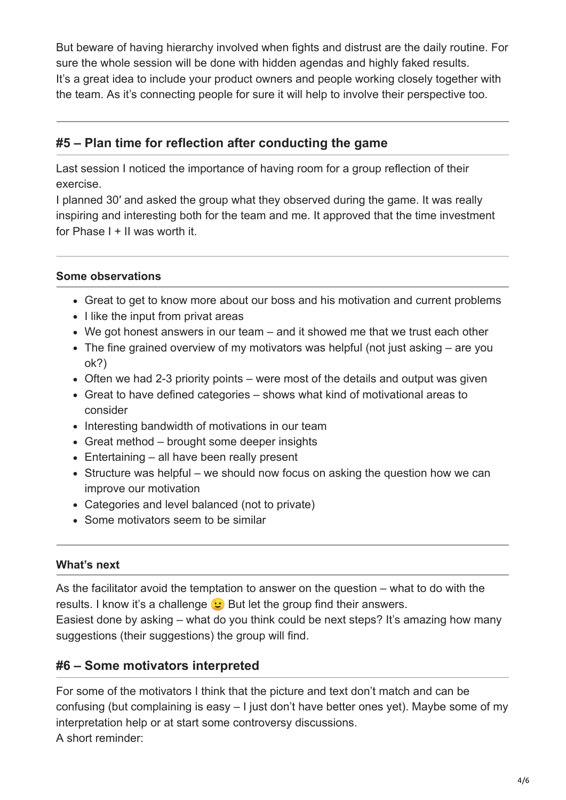But beware of having hierarchy involved when fights and distrust are the daily routine. For sure the whole session will be done with hidden agendas and highly faked results. It's a great idea to include your product owners and people working closely together with the team. As it's connecting people for sure it will help to involve their perspective too.

## **#5 – Plan time for reflection after conducting the game**

Last session I noticed the importance of having room for a group reflection of their exercise.

I planned 30′ and asked the group what they observed during the game. It was really inspiring and interesting both for the team and me. It approved that the time investment for Phase I + II was worth it.

## **Some observations**

- Great to get to know more about our boss and his motivation and current problems
- I like the input from privat areas
- We got honest answers in our team and it showed me that we trust each other
- The fine grained overview of my motivators was helpful (not just asking are you ok?)
- Often we had 2-3 priority points were most of the details and output was given
- Great to have defined categories shows what kind of motivational areas to consider
- Interesting bandwidth of motivations in our team
- Great method brought some deeper insights
- Entertaining all have been really present
- Structure was helpful we should now focus on asking the question how we can improve our motivation
- Categories and level balanced (not to private)
- Some motivators seem to be similar

### **What's next**

As the facilitator avoid the temptation to answer on the question – what to do with the results. I know it's a challenge  $\odot$  But let the group find their answers. Easiest done by asking – what do you think could be next steps? It's amazing how many suggestions (their suggestions) the group will find.

# **#6 – Some motivators interpreted**

For some of the motivators I think that the picture and text don't match and can be confusing (but complaining is easy – I just don't have better ones yet). Maybe some of my interpretation help or at start some controversy discussions. A short reminder: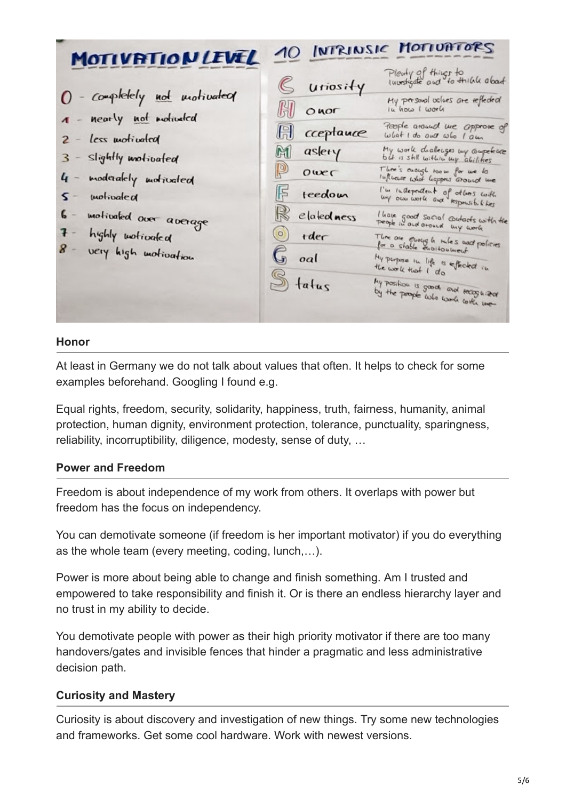| MOTIVATION LEVEL                                  |                         | 10 INTRINSIC MOTIVATORS                                           |
|---------------------------------------------------|-------------------------|-------------------------------------------------------------------|
|                                                   | G utiosity              | Plenty of things to<br>investigate and to think about             |
| O - completely not motivated                      | $\mathbb{H}$ onor       | My personal oclues are reflected<br>in how I work                 |
| 1 - nearly not motivated<br>$2 - less$ unotivated | <b>El</b> cceptauce     | People around me approve of<br>What I do one who I am             |
| 3 - slightly motivated                            | M aslery                | My work diallenges my competence                                  |
| 4 - moderalely motivated                          | <b>D</b> over           | There's enough toom for we to<br>Influence what happens around me |
| $S -$ motivated                                   | $F$ teedom              | I'm independent of others with                                    |
| 6 - motivated over average                        | $\mathbb{R}$ elatedness | I have good social contacts with the                              |
| 7 - highly wotivaled<br>8 - very high motivation  | $\circledcirc$ rder     | Thre are enough miles and policies                                |
|                                                   | $\mathbb{G}$ oal        | My perpose in life is effected in                                 |
|                                                   | $S_{\text{tatus}}$      | My position is good, and recognizer                               |

#### **Honor**

At least in Germany we do not talk about values that often. It helps to check for some examples beforehand. Googling I found e.g.

Equal rights, freedom, security, solidarity, happiness, truth, fairness, humanity, animal protection, human dignity, environment protection, tolerance, punctuality, sparingness, reliability, incorruptibility, diligence, modesty, sense of duty, …

## **Power and Freedom**

Freedom is about independence of my work from others. It overlaps with power but freedom has the focus on independency.

You can demotivate someone (if freedom is her important motivator) if you do everything as the whole team (every meeting, coding, lunch,…).

Power is more about being able to change and finish something. Am I trusted and empowered to take responsibility and finish it. Or is there an endless hierarchy layer and no trust in my ability to decide.

You demotivate people with power as their high priority motivator if there are too many handovers/gates and invisible fences that hinder a pragmatic and less administrative decision path.

## **Curiosity and Mastery**

Curiosity is about discovery and investigation of new things. Try some new technologies and frameworks. Get some cool hardware. Work with newest versions.